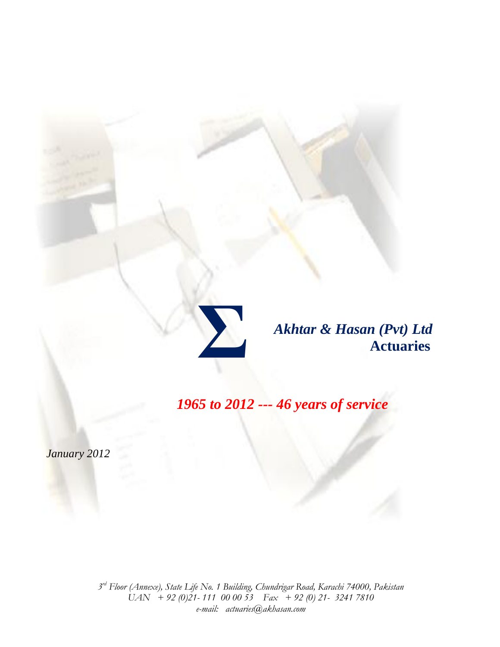

*Akhtar & Hasan (Pvt) Ltd*  **Actuaries**

*1965 to 2012 --- 46 years of service*

*January 2012*

*3 rd Floor (Annexe), State Life No. 1 Building, Chundrigar Road, Karachi 74000, Pakistan UAN + 92 (0)21- 111 00 00 53 Fax + 92 (0) 21- 3241 7810 e-mail: actuaries@akhasan.com*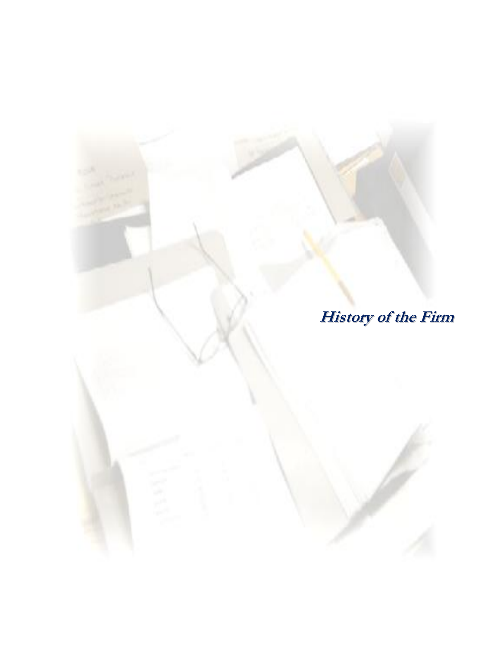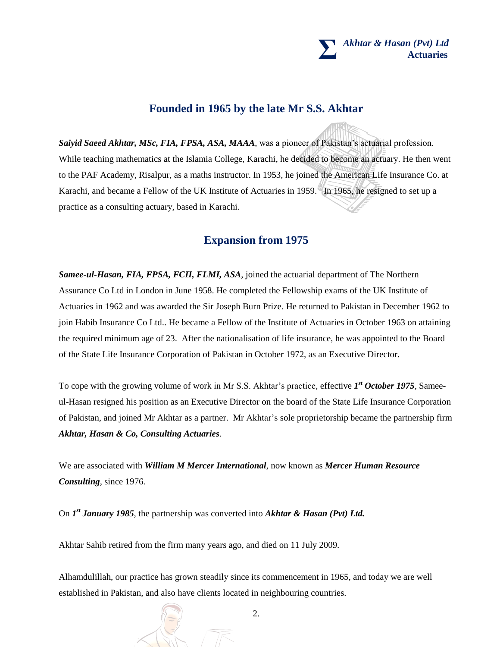### **Σ**  *Akhtar & Hasan (Pvt) Ltd*  **Actuaries**

# **Founded in 1965 by the late Mr S.S. Akhtar**

*Saiyid Saeed Akhtar, MSc, FIA, FPSA, ASA, MAAA*, was a pioneer of Pakistan's actuarial profession. While teaching mathematics at the Islamia College, Karachi, he decided to become an actuary. He then went to the PAF Academy, Risalpur, as a maths instructor. In 1953, he joined the American Life Insurance Co. at Karachi, and became a Fellow of the UK Institute of Actuaries in 1959. In 1965, he resigned to set up a practice as a consulting actuary, based in Karachi.

# **Expansion from 1975**

*Samee-ul-Hasan, FIA, FPSA, FCII, FLMI, ASA*, joined the actuarial department of The Northern Assurance Co Ltd in London in June 1958. He completed the Fellowship exams of the UK Institute of Actuaries in 1962 and was awarded the Sir Joseph Burn Prize. He returned to Pakistan in December 1962 to join Habib Insurance Co Ltd.. He became a Fellow of the Institute of Actuaries in October 1963 on attaining the required minimum age of 23. After the nationalisation of life insurance, he was appointed to the Board of the State Life Insurance Corporation of Pakistan in October 1972, as an Executive Director.

To cope with the growing volume of work in Mr S.S. Akhtar's practice, effective *1 st October 1975*, Sameeul-Hasan resigned his position as an Executive Director on the board of the State Life Insurance Corporation of Pakistan, and joined Mr Akhtar as a partner. Mr Akhtar's sole proprietorship became the partnership firm *Akhtar, Hasan & Co, Consulting Actuaries*.

We are associated with *William M Mercer International*, now known as *Mercer Human Resource Consulting*, since 1976.

On *I<sup>st</sup> January 1985*, the partnership was converted into *Akhtar & Hasan (Pvt) Ltd.* 

Akhtar Sahib retired from the firm many years ago, and died on 11 July 2009.

Alhamdulillah, our practice has grown steadily since its commencement in 1965, and today we are well established in Pakistan, and also have clients located in neighbouring countries.

2.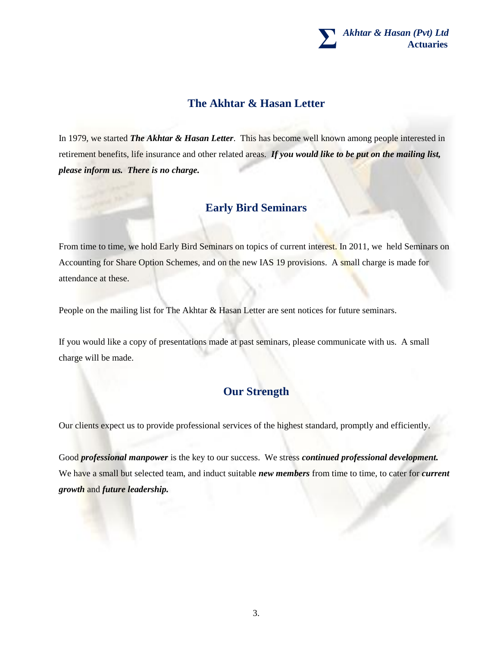

# **The Akhtar & Hasan Letter**

In 1979, we started *The Akhtar & Hasan Letter*. This has become well known among people interested in retirement benefits, life insurance and other related areas. *If you would like to be put on the mailing list, please inform us. There is no charge.*

# **Early Bird Seminars**

From time to time, we hold Early Bird Seminars on topics of current interest. In 2011, we held Seminars on Accounting for Share Option Schemes, and on the new IAS 19 provisions. A small charge is made for attendance at these.

People on the mailing list for The Akhtar & Hasan Letter are sent notices for future seminars.

If you would like a copy of presentations made at past seminars, please communicate with us. A small charge will be made.

# **Our Strength**

Our clients expect us to provide professional services of the highest standard, promptly and efficiently.

Good *professional manpower* is the key to our success. We stress *continued professional development.* We have a small but selected team, and induct suitable *new members* from time to time, to cater for *current growth* and *future leadership.*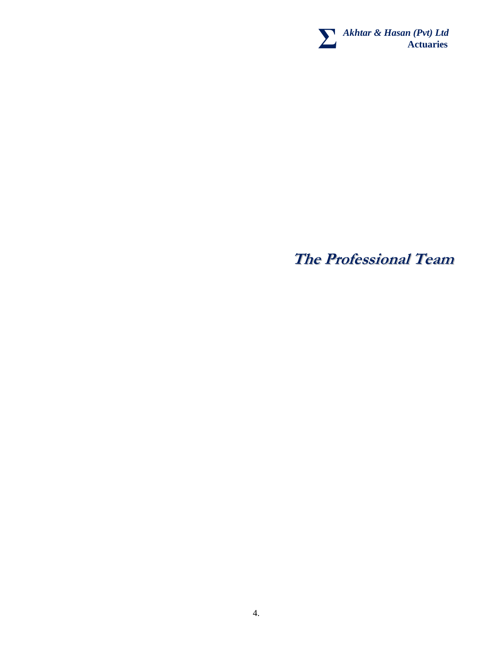

**The Professional Team**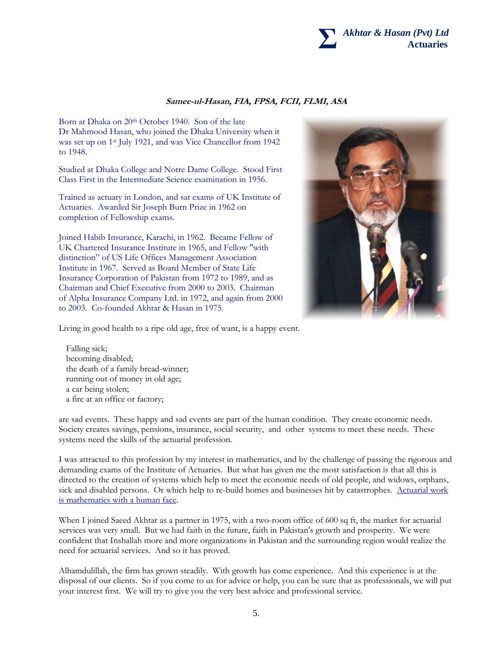

### **Samee-ul-Hasan, FIA, FPSA, FCII, FLMI, ASA**

Born at Dhaka on 20<sup>th</sup> October 1940. Son of the late Dr Mahmood Hasan, who joined the Dhaka University when it was set up on 1st July 1921, and was Vice Chancellor from 1942 to 1948.

Studied at Dhaka College and Notre Dame College. Stood First Class First in the Intermediate Science examination in 1956.

Trained as actuary in London, and sat exams of UK Institute of Actuaries. Awarded Sir Joseph Burn Prize in 1962 on completion of Fellowship exams.

Joined Habib Insurance, Karachi, in 1962. Became Fellow of UK Chartered Insurance Institute in 1965, and Fellow "with distinction" of US Life Offices Management Association Institute in 1967. Served as Board Member of State Life Insurance Corporation of Pakistan from 1972 to 1989, and as Chairman and Chief Executive from 2000 to 2003. Chairman of Alpha Insurance Company Ltd. in 1972, and again from 2000 to 2003. Co-founded Akhtar & Hasan in 1975.



Living in good health to a ripe old age, free of want, is a happy event.

Falling sick; becoming disabled; the death of a family bread-winner; running out of money in old age; a car being stolen; a fire at an office or factory;

are sad events. These happy and sad events are part of the human condition. They create economic needs. Society creates savings, pensions, insurance, social security, and other systems to meet these needs. These systems need the skills of the actuarial profession.

I was attracted to this profession by my interest in mathematics, and by the challenge of passing the rigorous and demanding exams of the Institute of Actuaries. But what has given me the most satisfaction is that all this is directed to the creation of systems which help to meet the economic needs of old people, and widows, orphans, sick and disabled persons. Or which help to re-build homes and businesses hit by catastrophes. Actuarial work is mathematics with a human face.

When I joined Saeed Akhtar as a partner in 1975, with a two-room office of 600 sq ft, the market for actuarial services was very small. But we had faith in the future, faith in Pakistan's growth and prosperity. We were confident that Inshallah more and more organizations in Pakistan and the surrounding region would realize the need for actuarial services. And so it has proved.

Alhamdulillah, the firm has grown steadily. With growth has come experience. And this experience is at the disposal of our clients. So if you come to us for advice or help, you can be sure that as professionals, we will put your interest first. We will try to give you the very best advice and professional service.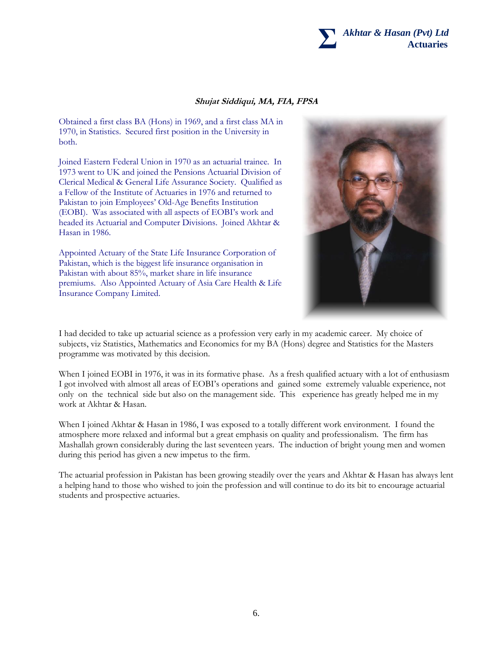

### **Shujat Siddiqui, MA, FIA, FPSA**

Obtained a first class BA (Hons) in 1969, and a first class MA in 1970, in Statistics. Secured first position in the University in both.

Joined Eastern Federal Union in 1970 as an actuarial trainee. In 1973 went to UK and joined the Pensions Actuarial Division of Clerical Medical & General Life Assurance Society. Qualified as a Fellow of the Institute of Actuaries in 1976 and returned to Pakistan to join Employees' Old-Age Benefits Institution (EOBI). Was associated with all aspects of EOBI's work and headed its Actuarial and Computer Divisions. Joined Akhtar & Hasan in 1986.

Appointed Actuary of the State Life Insurance Corporation of Pakistan, which is the biggest life insurance organisation in Pakistan with about 85%, market share in life insurance premiums. Also Appointed Actuary of Asia Care Health & Life Insurance Company Limited.



I had decided to take up actuarial science as a profession very early in my academic career. My choice of subjects, viz Statistics, Mathematics and Economics for my BA (Hons) degree and Statistics for the Masters programme was motivated by this decision.

When I joined EOBI in 1976, it was in its formative phase. As a fresh qualified actuary with a lot of enthusiasm I got involved with almost all areas of EOBI's operations and gained some extremely valuable experience, not only on the technical side but also on the management side. This experience has greatly helped me in my work at Akhtar & Hasan.

When I joined Akhtar & Hasan in 1986, I was exposed to a totally different work environment. I found the atmosphere more relaxed and informal but a great emphasis on quality and professionalism. The firm has Mashallah grown considerably during the last seventeen years. The induction of bright young men and women during this period has given a new impetus to the firm.

The actuarial profession in Pakistan has been growing steadily over the years and Akhtar & Hasan has always lent a helping hand to those who wished to join the profession and will continue to do its bit to encourage actuarial students and prospective actuaries.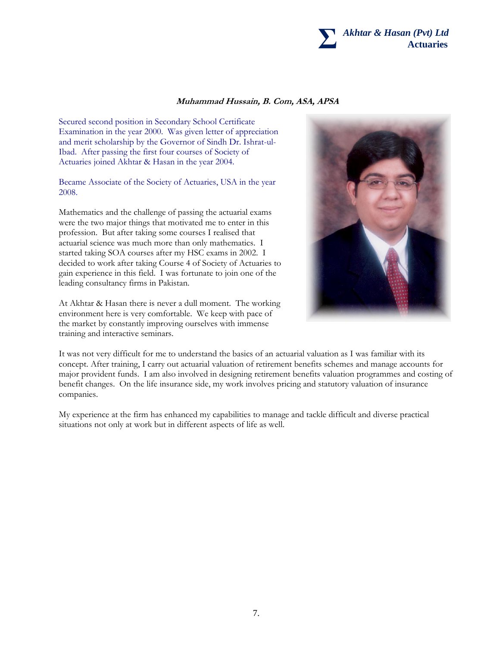

### **Muhammad Hussain, B. Com, ASA, APSA**

Secured second position in Secondary School Certificate Examination in the year 2000. Was given letter of appreciation and merit scholarship by the Governor of Sindh Dr. Ishrat-ul-Ibad. After passing the first four courses of Society of Actuaries joined Akhtar & Hasan in the year 2004.

Became Associate of the Society of Actuaries, USA in the year 2008.

Mathematics and the challenge of passing the actuarial exams were the two major things that motivated me to enter in this profession. But after taking some courses I realised that actuarial science was much more than only mathematics. I started taking SOA courses after my HSC exams in 2002. I decided to work after taking Course 4 of Society of Actuaries to gain experience in this field. I was fortunate to join one of the leading consultancy firms in Pakistan.

At Akhtar & Hasan there is never a dull moment. The working environment here is very comfortable. We keep with pace of the market by constantly improving ourselves with immense training and interactive seminars.



It was not very difficult for me to understand the basics of an actuarial valuation as I was familiar with its concept. After training, I carry out actuarial valuation of retirement benefits schemes and manage accounts for major provident funds. I am also involved in designing retirement benefits valuation programmes and costing of benefit changes. On the life insurance side, my work involves pricing and statutory valuation of insurance companies.

My experience at the firm has enhanced my capabilities to manage and tackle difficult and diverse practical situations not only at work but in different aspects of life as well.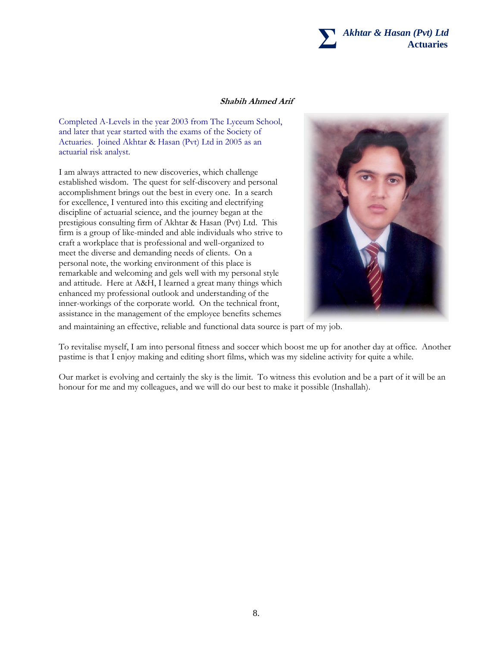

### **Shabih Ahmed Arif**

Completed A-Levels in the year 2003 from The Lyceum School, and later that year started with the exams of the Society of Actuaries. Joined Akhtar & Hasan (Pvt) Ltd in 2005 as an actuarial risk analyst.

I am always attracted to new discoveries, which challenge established wisdom. The quest for self-discovery and personal accomplishment brings out the best in every one. In a search for excellence, I ventured into this exciting and electrifying discipline of actuarial science, and the journey began at the prestigious consulting firm of Akhtar & Hasan (Pvt) Ltd. This firm is a group of like-minded and able individuals who strive to craft a workplace that is professional and well-organized to meet the diverse and demanding needs of clients. On a personal note, the working environment of this place is remarkable and welcoming and gels well with my personal style and attitude. Here at A&H, I learned a great many things which enhanced my professional outlook and understanding of the inner-workings of the corporate world. On the technical front, assistance in the management of the employee benefits schemes



and maintaining an effective, reliable and functional data source is part of my job.

To revitalise myself, I am into personal fitness and soccer which boost me up for another day at office. Another pastime is that I enjoy making and editing short films, which was my sideline activity for quite a while.

Our market is evolving and certainly the sky is the limit. To witness this evolution and be a part of it will be an honour for me and my colleagues, and we will do our best to make it possible (Inshallah).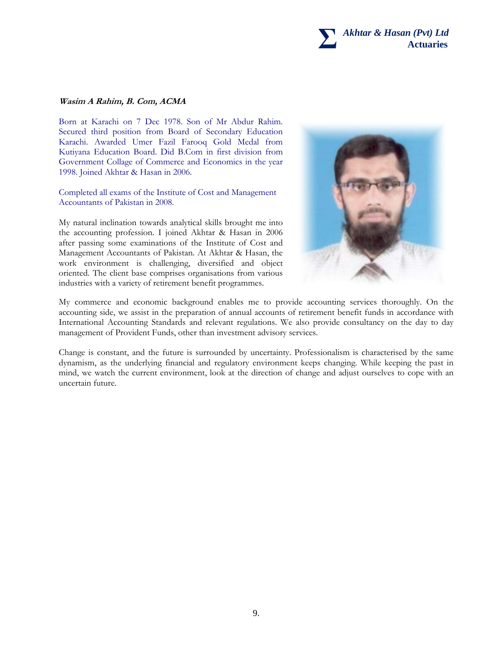

#### **Wasim A Rahim, B. Com, ACMA**

Born at Karachi on 7 Dec 1978. Son of Mr Abdur Rahim. Secured third position from Board of Secondary Education Karachi. Awarded Umer Fazil Farooq Gold Medal from Kutiyana Education Board. Did B.Com in first division from Government Collage of Commerce and Economics in the year 1998. Joined Akhtar & Hasan in 2006.

Completed all exams of the Institute of Cost and Management Accountants of Pakistan in 2008.

My natural inclination towards analytical skills brought me into the accounting profession. I joined Akhtar & Hasan in 2006 after passing some examinations of the Institute of Cost and Management Accountants of Pakistan. At Akhtar & Hasan, the work environment is challenging, diversified and object oriented. The client base comprises organisations from various industries with a variety of retirement benefit programmes.



My commerce and economic background enables me to provide accounting services thoroughly. On the accounting side, we assist in the preparation of annual accounts of retirement benefit funds in accordance with International Accounting Standards and relevant regulations. We also provide consultancy on the day to day management of Provident Funds, other than investment advisory services.

Change is constant, and the future is surrounded by uncertainty. Professionalism is characterised by the same dynamism, as the underlying financial and regulatory environment keeps changing. While keeping the past in mind, we watch the current environment, look at the direction of change and adjust ourselves to cope with an uncertain future.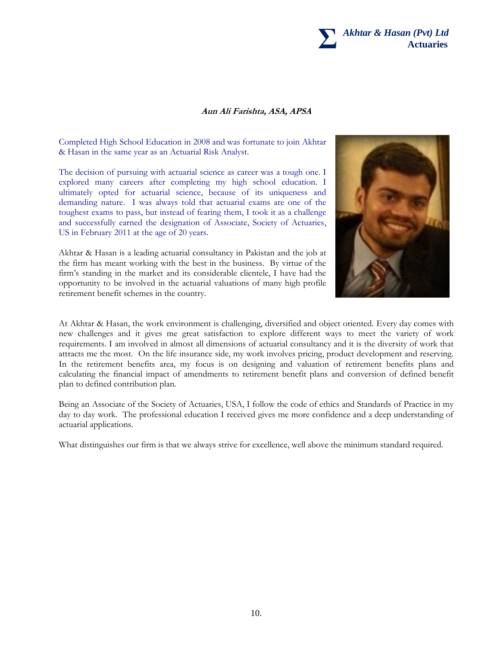

#### **Aun Ali Farishta, ASA, APSA**

Completed High School Education in 2008 and was fortunate to join Akhtar & Hasan in the same year as an Actuarial Risk Analyst.

The decision of pursuing with actuarial science as career was a tough one. I explored many careers after completing my high school education. I ultimately opted for actuarial science, because of its uniqueness and demanding nature. I was always told that actuarial exams are one of the toughest exams to pass, but instead of fearing them, I took it as a challenge and successfully earned the designation of Associate, Society of Actuaries, US in February 2011 at the age of 20 years.

Akhtar & Hasan is a leading actuarial consultancy in Pakistan and the job at the firm has meant working with the best in the business. By virtue of the firm's standing in the market and its considerable clientele, I have had the opportunity to be involved in the actuarial valuations of many high profile retirement benefit schemes in the country.



At Akhtar & Hasan, the work environment is challenging, diversified and object oriented. Every day comes with new challenges and it gives me great satisfaction to explore different ways to meet the variety of work requirements. I am involved in almost all dimensions of actuarial consultancy and it is the diversity of work that attracts me the most. On the life insurance side, my work involves pricing, product development and reserving. In the retirement benefits area, my focus is on designing and valuation of retirement benefits plans and calculating the financial impact of amendments to retirement benefit plans and conversion of defined benefit plan to defined contribution plan.

Being an Associate of the Society of Actuaries, USA, I follow the code of ethics and Standards of Practice in my day to day work. The professional education I received gives me more confidence and a deep understanding of actuarial applications.

What distinguishes our firm is that we always strive for excellence, well above the minimum standard required.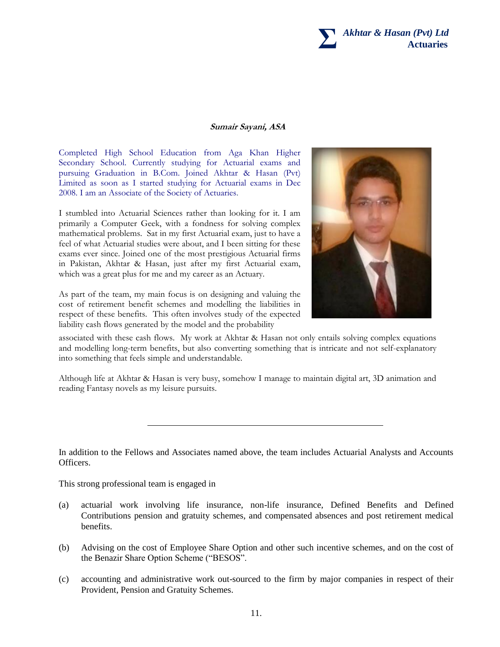

#### **Sumair Sayani, ASA**

Completed High School Education from Aga Khan Higher Secondary School. Currently studying for Actuarial exams and pursuing Graduation in B.Com. Joined Akhtar & Hasan (Pvt) Limited as soon as I started studying for Actuarial exams in Dec 2008. I am an Associate of the Society of Actuaries.

I stumbled into Actuarial Sciences rather than looking for it. I am primarily a Computer Geek, with a fondness for solving complex mathematical problems. Sat in my first Actuarial exam, just to have a feel of what Actuarial studies were about, and I been sitting for these exams ever since. Joined one of the most prestigious Actuarial firms in Pakistan, Akhtar & Hasan, just after my first Actuarial exam, which was a great plus for me and my career as an Actuary.

As part of the team, my main focus is on designing and valuing the cost of retirement benefit schemes and modelling the liabilities in respect of these benefits. This often involves study of the expected liability cash flows generated by the model and the probability



associated with these cash flows. My work at Akhtar & Hasan not only entails solving complex equations and modelling long-term benefits, but also converting something that is intricate and not self-explanatory into something that feels simple and understandable.

Although life at Akhtar & Hasan is very busy, somehow I manage to maintain digital art, 3D animation and reading Fantasy novels as my leisure pursuits.

In addition to the Fellows and Associates named above, the team includes Actuarial Analysts and Accounts Officers.

This strong professional team is engaged in

- (a) actuarial work involving life insurance, non-life insurance, Defined Benefits and Defined Contributions pension and gratuity schemes, and compensated absences and post retirement medical benefits.
- (b) Advising on the cost of Employee Share Option and other such incentive schemes, and on the cost of the Benazir Share Option Scheme ("BESOS".
- (c) accounting and administrative work out-sourced to the firm by major companies in respect of their Provident, Pension and Gratuity Schemes.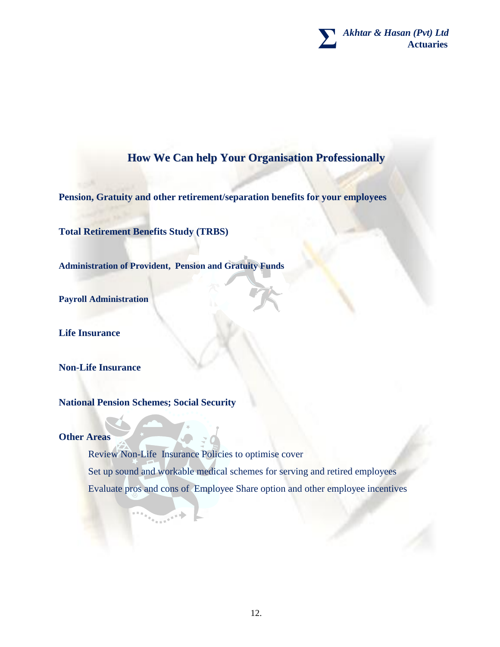**Σ**  *Akhtar & Hasan (Pvt) Ltd*  **Actuaries**

# **How We Can help Your Organisation Professionally**

**Pension, Gratuity and other retirement/separation benefits for your employees**

**Total Retirement Benefits Study (TRBS)**

**Administration of Provident, Pension and Gratuity Funds**

**Payroll Administration**

**Life Insurance**

**Non-Life Insurance**

**National Pension Schemes; Social Security**

**Other Areas**

Review Non-Life Insurance Policies to optimise cover Set up sound and workable medical schemes for serving and retired employees Evaluate pros and cons of Employee Share option and other employee incentives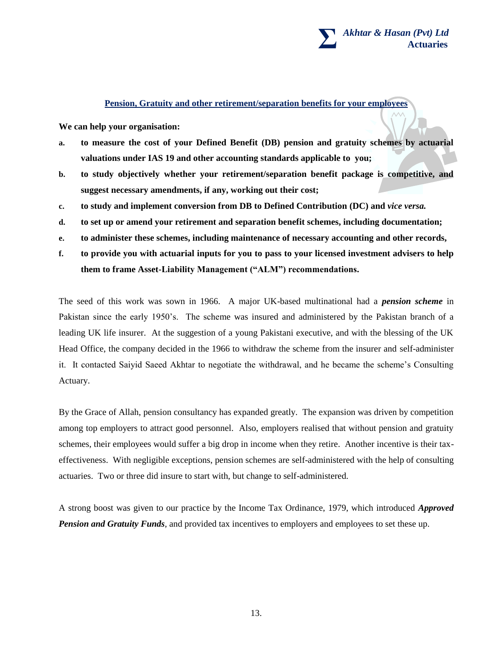

### **Pension, Gratuity and other retirement/separation benefits for your employees**

**We can help your organisation:**

- **a. to measure the cost of your Defined Benefit (DB) pension and gratuity schemes by actuarial valuations under IAS 19 and other accounting standards applicable to you;**
- **b. to study objectively whether your retirement/separation benefit package is competitive, and suggest necessary amendments, if any, working out their cost;**
- **c. to study and implement conversion from DB to Defined Contribution (DC) and** *vice versa.*
- **d. to set up or amend your retirement and separation benefit schemes, including documentation;**
- **e. to administer these schemes, including maintenance of necessary accounting and other records,**
- **f. to provide you with actuarial inputs for you to pass to your licensed investment advisers to help them to frame Asset-Liability Management ("ALM") recommendations.**

The seed of this work was sown in 1966. A major UK-based multinational had a *pension scheme* in Pakistan since the early 1950's. The scheme was insured and administered by the Pakistan branch of a leading UK life insurer. At the suggestion of a young Pakistani executive, and with the blessing of the UK Head Office, the company decided in the 1966 to withdraw the scheme from the insurer and self-administer it. It contacted Saiyid Saeed Akhtar to negotiate the withdrawal, and he became the scheme's Consulting Actuary.

By the Grace of Allah, pension consultancy has expanded greatly. The expansion was driven by competition among top employers to attract good personnel. Also, employers realised that without pension and gratuity schemes, their employees would suffer a big drop in income when they retire. Another incentive is their taxeffectiveness. With negligible exceptions, pension schemes are self-administered with the help of consulting actuaries. Two or three did insure to start with, but change to self-administered.

A strong boost was given to our practice by the Income Tax Ordinance, 1979, which introduced *Approved Pension and Gratuity Funds*, and provided tax incentives to employers and employees to set these up.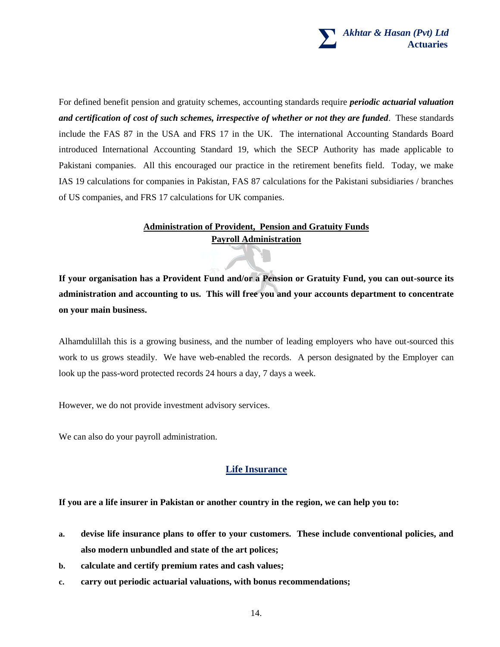

For defined benefit pension and gratuity schemes, accounting standards require *periodic actuarial valuation and certification of cost of such schemes, irrespective of whether or not they are funded*. These standards include the FAS 87 in the USA and FRS 17 in the UK. The international Accounting Standards Board introduced International Accounting Standard 19, which the SECP Authority has made applicable to Pakistani companies. All this encouraged our practice in the retirement benefits field. Today, we make IAS 19 calculations for companies in Pakistan, FAS 87 calculations for the Pakistani subsidiaries / branches of US companies, and FRS 17 calculations for UK companies.

# **Administration of Provident, Pension and Gratuity Funds Payroll Administration**

**If your organisation has a Provident Fund and/or a Pension or Gratuity Fund, you can out-source its administration and accounting to us. This will free you and your accounts department to concentrate on your main business.**

Alhamdulillah this is a growing business, and the number of leading employers who have out-sourced this work to us grows steadily. We have web-enabled the records. A person designated by the Employer can look up the pass-word protected records 24 hours a day, 7 days a week.

However, we do not provide investment advisory services.

We can also do your payroll administration.

## **Life Insurance**

**If you are a life insurer in Pakistan or another country in the region, we can help you to:**

- **a. devise life insurance plans to offer to your customers. These include conventional policies, and also modern unbundled and state of the art polices;**
- **b. calculate and certify premium rates and cash values;**
- **c. carry out periodic actuarial valuations, with bonus recommendations;**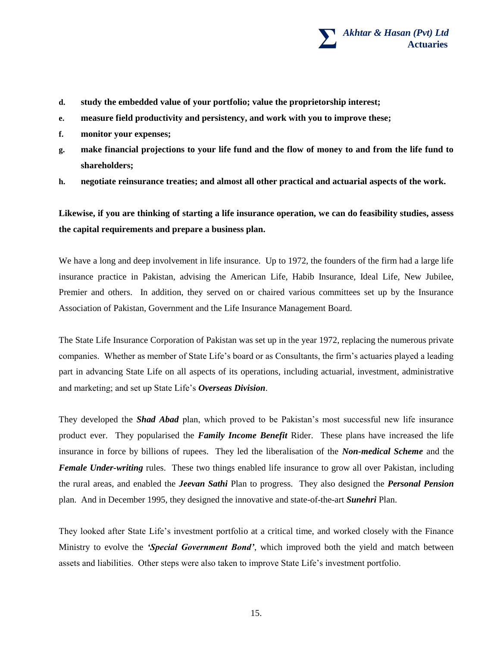

- **d. study the embedded value of your portfolio; value the proprietorship interest;**
- **e. measure field productivity and persistency, and work with you to improve these;**
- **f. monitor your expenses;**
- **g. make financial projections to your life fund and the flow of money to and from the life fund to shareholders;**
- **h. negotiate reinsurance treaties; and almost all other practical and actuarial aspects of the work.**

**Likewise, if you are thinking of starting a life insurance operation, we can do feasibility studies, assess the capital requirements and prepare a business plan.**

We have a long and deep involvement in life insurance. Up to 1972, the founders of the firm had a large life insurance practice in Pakistan, advising the American Life, Habib Insurance, Ideal Life, New Jubilee, Premier and others. In addition, they served on or chaired various committees set up by the Insurance Association of Pakistan, Government and the Life Insurance Management Board.

The State Life Insurance Corporation of Pakistan was set up in the year 1972, replacing the numerous private companies. Whether as member of State Life's board or as Consultants, the firm's actuaries played a leading part in advancing State Life on all aspects of its operations, including actuarial, investment, administrative and marketing; and set up State Life's *Overseas Division*.

They developed the *Shad Abad* plan, which proved to be Pakistan's most successful new life insurance product ever. They popularised the *Family Income Benefit* Rider. These plans have increased the life insurance in force by billions of rupees. They led the liberalisation of the *Non-medical Scheme* and the *Female Under-writing* rules. These two things enabled life insurance to grow all over Pakistan, including the rural areas, and enabled the *Jeevan Sathi* Plan to progress. They also designed the *Personal Pension* plan. And in December 1995, they designed the innovative and state-of-the-art *Sunehri* Plan.

They looked after State Life's investment portfolio at a critical time, and worked closely with the Finance Ministry to evolve the *'Special Government Bond'*, which improved both the yield and match between assets and liabilities. Other steps were also taken to improve State Life's investment portfolio.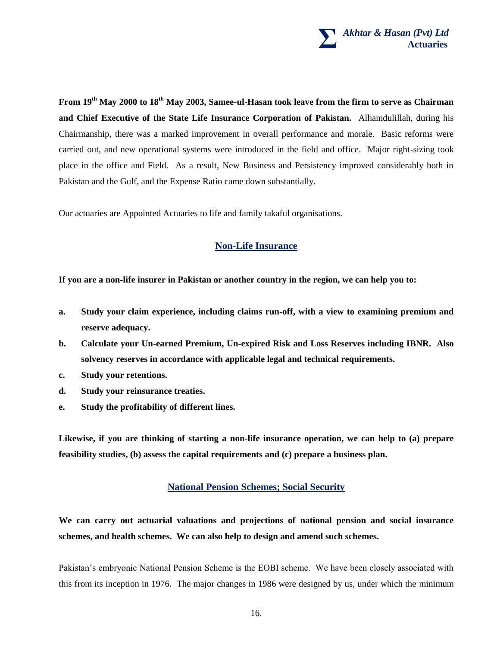

**From 19th May 2000 to 18th May 2003, Samee-ul-Hasan took leave from the firm to serve as Chairman and Chief Executive of the State Life Insurance Corporation of Pakistan.** Alhamdulillah, during his Chairmanship, there was a marked improvement in overall performance and morale. Basic reforms were carried out, and new operational systems were introduced in the field and office. Major right-sizing took place in the office and Field. As a result, New Business and Persistency improved considerably both in Pakistan and the Gulf, and the Expense Ratio came down substantially.

Our actuaries are Appointed Actuaries to life and family takaful organisations.

## **Non-Life Insurance**

**If you are a non-life insurer in Pakistan or another country in the region, we can help you to:**

- **a. Study your claim experience, including claims run-off, with a view to examining premium and reserve adequacy.**
- **b. Calculate your Un-earned Premium, Un-expired Risk and Loss Reserves including IBNR. Also solvency reserves in accordance with applicable legal and technical requirements.**
- **c. Study your retentions.**
- **d. Study your reinsurance treaties.**
- **e. Study the profitability of different lines.**

**Likewise, if you are thinking of starting a non-life insurance operation, we can help to (a) prepare feasibility studies, (b) assess the capital requirements and (c) prepare a business plan.**

### **National Pension Schemes; Social Security**

**We can carry out actuarial valuations and projections of national pension and social insurance schemes, and health schemes. We can also help to design and amend such schemes.**

Pakistan's embryonic National Pension Scheme is the EOBI scheme. We have been closely associated with this from its inception in 1976. The major changes in 1986 were designed by us, under which the minimum